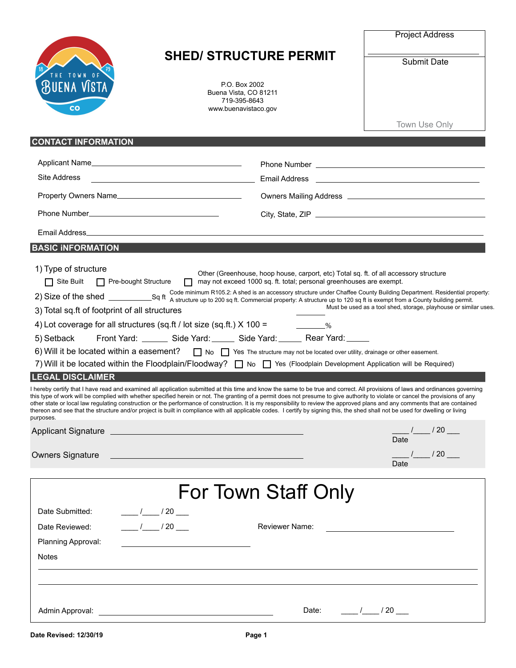

## **SHED/ STRUCTURE PERMIT**

P.O. Box 2002 Buena Vista, CO 81211 719-395-8643 www.buenavistaco.gov

Project Address

Submit Date

|                                                                                                                                                                                                                                                               |                                                                                                                       |                                                                                                                                                                                                                                                                                                                                                                                                                                                                                                                                                                                                                                                                                                                                                                                                                                                                                                                                                                                                                                                                                                                                                                                                                                                                                                                                                                          | Town Use Only                                                                                                         |
|---------------------------------------------------------------------------------------------------------------------------------------------------------------------------------------------------------------------------------------------------------------|-----------------------------------------------------------------------------------------------------------------------|--------------------------------------------------------------------------------------------------------------------------------------------------------------------------------------------------------------------------------------------------------------------------------------------------------------------------------------------------------------------------------------------------------------------------------------------------------------------------------------------------------------------------------------------------------------------------------------------------------------------------------------------------------------------------------------------------------------------------------------------------------------------------------------------------------------------------------------------------------------------------------------------------------------------------------------------------------------------------------------------------------------------------------------------------------------------------------------------------------------------------------------------------------------------------------------------------------------------------------------------------------------------------------------------------------------------------------------------------------------------------|-----------------------------------------------------------------------------------------------------------------------|
| <b>CONTACT INFORMATION</b>                                                                                                                                                                                                                                    |                                                                                                                       |                                                                                                                                                                                                                                                                                                                                                                                                                                                                                                                                                                                                                                                                                                                                                                                                                                                                                                                                                                                                                                                                                                                                                                                                                                                                                                                                                                          |                                                                                                                       |
| Applicant Name                                                                                                                                                                                                                                                |                                                                                                                       |                                                                                                                                                                                                                                                                                                                                                                                                                                                                                                                                                                                                                                                                                                                                                                                                                                                                                                                                                                                                                                                                                                                                                                                                                                                                                                                                                                          |                                                                                                                       |
| Site Address                                                                                                                                                                                                                                                  | <u> 1980 - Johann Barbara, martxa eta politikaria (h. 1908).</u>                                                      | Email Address                                                                                                                                                                                                                                                                                                                                                                                                                                                                                                                                                                                                                                                                                                                                                                                                                                                                                                                                                                                                                                                                                                                                                                                                                                                                                                                                                            | <u> 1999 - Johann Harry Harry Harry Harry Harry Harry Harry Harry Harry Harry Harry Harry Harry Harry Harry Harry</u> |
| Property Owners Name                                                                                                                                                                                                                                          |                                                                                                                       |                                                                                                                                                                                                                                                                                                                                                                                                                                                                                                                                                                                                                                                                                                                                                                                                                                                                                                                                                                                                                                                                                                                                                                                                                                                                                                                                                                          | Owners Mailing Address <b>Constanting</b> Owners Mailing Address <b>Constanting</b>                                   |
|                                                                                                                                                                                                                                                               |                                                                                                                       |                                                                                                                                                                                                                                                                                                                                                                                                                                                                                                                                                                                                                                                                                                                                                                                                                                                                                                                                                                                                                                                                                                                                                                                                                                                                                                                                                                          |                                                                                                                       |
|                                                                                                                                                                                                                                                               |                                                                                                                       |                                                                                                                                                                                                                                                                                                                                                                                                                                                                                                                                                                                                                                                                                                                                                                                                                                                                                                                                                                                                                                                                                                                                                                                                                                                                                                                                                                          |                                                                                                                       |
| <b>BASIC INFORMATION</b>                                                                                                                                                                                                                                      |                                                                                                                       |                                                                                                                                                                                                                                                                                                                                                                                                                                                                                                                                                                                                                                                                                                                                                                                                                                                                                                                                                                                                                                                                                                                                                                                                                                                                                                                                                                          |                                                                                                                       |
| 1) Type of structure<br>$\Box$ Site Built<br><b>Pre-bought Structure</b><br>3) Total sq.ft of footprint of all structures<br>4) Lot coverage for all structures (sq.ft / lot size (sq.ft.) $X$ 100 = $\frac{1}{2}$ %<br>5) Setback<br><b>LEGAL DISCLAIMER</b> | $\Box$                                                                                                                | Other (Greenhouse, hoop house, carport, etc) Total sq. ft. of all accessory structure<br>may not exceed 1000 sq. ft. total; personal greenhouses are exempt.<br>Code minimum R105.2: A shed is an accessory structure under Chaffee County Building Department. Residential property:<br>Front Yard: ________ Side Yard: ______ Side Yard: ______ Rear Yard: ______<br>6) Will it be located within a easement?<br>No Sine structure may not be located over utility, drainage or other easement.<br>7) Will it be located within the Floodplain/Floodway?<br>No<br>Tes (Floodplain Development Application will be Required)<br>I hereby certify that I have read and examined all application submitted at this time and know the same to be true and correct. All provisions of laws and ordinances governing<br>this type of work will be complied with whether specified herein or not. The granting of a permit does not presume to give authority to violate or cancel the provisions of any<br>other state or local law regulating construction or the performance of construction. It is my responsibility to review the approved plans and any comments that are contained<br>thereon and see that the structure and/or project is built in compliance with all applicable codes. I certify by signing this, the shed shall not be used for dwelling or living | Must be used as a tool shed, storage, playhouse or similar uses.                                                      |
| purposes.                                                                                                                                                                                                                                                     |                                                                                                                       |                                                                                                                                                                                                                                                                                                                                                                                                                                                                                                                                                                                                                                                                                                                                                                                                                                                                                                                                                                                                                                                                                                                                                                                                                                                                                                                                                                          | $\frac{1}{\sqrt{20}}$ / 20 $\frac{1}{\sqrt{20}}$<br>Date                                                              |
| <b>Owners Signature</b>                                                                                                                                                                                                                                       | <u> 1989 - Johann Barn, mars ann an t-Amhain an t-Amhain an t-Amhain an t-Amhain an t-Amhain an t-Amhain an t-Amh</u> |                                                                                                                                                                                                                                                                                                                                                                                                                                                                                                                                                                                                                                                                                                                                                                                                                                                                                                                                                                                                                                                                                                                                                                                                                                                                                                                                                                          | 1/20<br>Date                                                                                                          |
|                                                                                                                                                                                                                                                               |                                                                                                                       | For Town Staff Only                                                                                                                                                                                                                                                                                                                                                                                                                                                                                                                                                                                                                                                                                                                                                                                                                                                                                                                                                                                                                                                                                                                                                                                                                                                                                                                                                      |                                                                                                                       |
|                                                                                                                                                                                                                                                               |                                                                                                                       |                                                                                                                                                                                                                                                                                                                                                                                                                                                                                                                                                                                                                                                                                                                                                                                                                                                                                                                                                                                                                                                                                                                                                                                                                                                                                                                                                                          |                                                                                                                       |
| Date Submitted:                                                                                                                                                                                                                                               | $\frac{1}{2}$ / 20 $\frac{1}{2}$                                                                                      |                                                                                                                                                                                                                                                                                                                                                                                                                                                                                                                                                                                                                                                                                                                                                                                                                                                                                                                                                                                                                                                                                                                                                                                                                                                                                                                                                                          |                                                                                                                       |
| Date Reviewed:                                                                                                                                                                                                                                                | $\frac{1}{2}$ / 20 $\frac{1}{2}$                                                                                      | <b>Reviewer Name:</b>                                                                                                                                                                                                                                                                                                                                                                                                                                                                                                                                                                                                                                                                                                                                                                                                                                                                                                                                                                                                                                                                                                                                                                                                                                                                                                                                                    |                                                                                                                       |
| Planning Approval:<br><b>Notes</b>                                                                                                                                                                                                                            |                                                                                                                       |                                                                                                                                                                                                                                                                                                                                                                                                                                                                                                                                                                                                                                                                                                                                                                                                                                                                                                                                                                                                                                                                                                                                                                                                                                                                                                                                                                          |                                                                                                                       |
|                                                                                                                                                                                                                                                               |                                                                                                                       |                                                                                                                                                                                                                                                                                                                                                                                                                                                                                                                                                                                                                                                                                                                                                                                                                                                                                                                                                                                                                                                                                                                                                                                                                                                                                                                                                                          |                                                                                                                       |
|                                                                                                                                                                                                                                                               |                                                                                                                       |                                                                                                                                                                                                                                                                                                                                                                                                                                                                                                                                                                                                                                                                                                                                                                                                                                                                                                                                                                                                                                                                                                                                                                                                                                                                                                                                                                          |                                                                                                                       |
|                                                                                                                                                                                                                                                               |                                                                                                                       | Date: $\frac{1}{2}$ / $\frac{1}{20}$ / 20                                                                                                                                                                                                                                                                                                                                                                                                                                                                                                                                                                                                                                                                                                                                                                                                                                                                                                                                                                                                                                                                                                                                                                                                                                                                                                                                |                                                                                                                       |